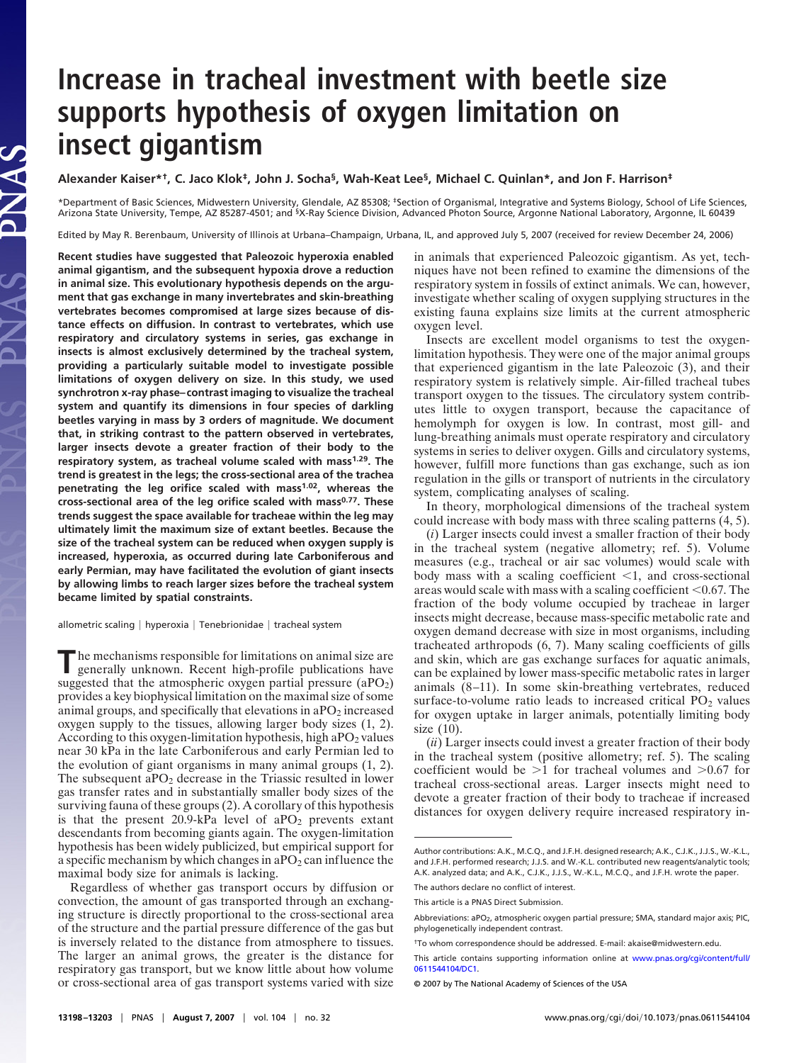## **Increase in tracheal investment with beetle size supports hypothesis of oxygen limitation on insect gigantism**

**Alexander Kaiser\*†, C. Jaco Klok‡, John J. Socha§, Wah-Keat Lee§, Michael C. Quinlan\*, and Jon F. Harrison‡**

\*Department of Basic Sciences, Midwestern University, Glendale, AZ 85308; ‡Section of Organismal, Integrative and Systems Biology, School of Life Sciences, Arizona State University, Tempe, AZ 85287-4501; and <sup>5</sup>X-Ray Science Division, Advanced Photon Source, Argonne National Laboratory, Argonne, IL 60439

Edited by May R. Berenbaum, University of Illinois at Urbana–Champaign, Urbana, IL, and approved July 5, 2007 (received for review December 24, 2006)

**Recent studies have suggested that Paleozoic hyperoxia enabled animal gigantism, and the subsequent hypoxia drove a reduction in animal size. This evolutionary hypothesis depends on the argument that gas exchange in many invertebrates and skin-breathing vertebrates becomes compromised at large sizes because of distance effects on diffusion. In contrast to vertebrates, which use respiratory and circulatory systems in series, gas exchange in insects is almost exclusively determined by the tracheal system, providing a particularly suitable model to investigate possible limitations of oxygen delivery on size. In this study, we used synchrotron x-ray phase–contrast imaging to visualize the tracheal system and quantify its dimensions in four species of darkling beetles varying in mass by 3 orders of magnitude. We document that, in striking contrast to the pattern observed in vertebrates, larger insects devote a greater fraction of their body to the respiratory system, as tracheal volume scaled with mass1.29. The trend is greatest in the legs; the cross-sectional area of the trachea penetrating the leg orifice scaled with mass1.02, whereas the cross-sectional area of the leg orifice scaled with mass0.77. These trends suggest the space available for tracheae within the leg may ultimately limit the maximum size of extant beetles. Because the size of the tracheal system can be reduced when oxygen supply is increased, hyperoxia, as occurred during late Carboniferous and early Permian, may have facilitated the evolution of giant insects by allowing limbs to reach larger sizes before the tracheal system became limited by spatial constraints.**

AS<sup></sup>

allometric scaling | hyperoxia | Tenebrionidae | tracheal system

The mechanisms responsible for limitations on animal size are generally unknown. Recent high-profile publications have suggested that the atmospheric oxygen partial pressure  $(aPO<sub>2</sub>)$ provides a key biophysical limitation on the maximal size of some animal groups, and specifically that elevations in  $aPO<sub>2</sub>$  increased oxygen supply to the tissues, allowing larger body sizes (1, 2). According to this oxygen-limitation hypothesis, high aPO<sub>2</sub> values near 30 kPa in the late Carboniferous and early Permian led to the evolution of giant organisms in many animal groups (1, 2). The subsequent a $PO<sub>2</sub>$  decrease in the Triassic resulted in lower gas transfer rates and in substantially smaller body sizes of the surviving fauna of these groups (2). A corollary of this hypothesis is that the present  $20.9$ -kPa level of  $aPO<sub>2</sub>$  prevents extant descendants from becoming giants again. The oxygen-limitation hypothesis has been widely publicized, but empirical support for a specific mechanism by which changes in  $aPO<sub>2</sub>$  can influence the maximal body size for animals is lacking.

Regardless of whether gas transport occurs by diffusion or convection, the amount of gas transported through an exchanging structure is directly proportional to the cross-sectional area of the structure and the partial pressure difference of the gas but is inversely related to the distance from atmosphere to tissues. The larger an animal grows, the greater is the distance for respiratory gas transport, but we know little about how volume or cross-sectional area of gas transport systems varied with size in animals that experienced Paleozoic gigantism. As yet, techniques have not been refined to examine the dimensions of the respiratory system in fossils of extinct animals. We can, however, investigate whether scaling of oxygen supplying structures in the existing fauna explains size limits at the current atmospheric oxygen level.

Insects are excellent model organisms to test the oxygenlimitation hypothesis. They were one of the major animal groups that experienced gigantism in the late Paleozoic (3), and their respiratory system is relatively simple. Air-filled tracheal tubes transport oxygen to the tissues. The circulatory system contributes little to oxygen transport, because the capacitance of hemolymph for oxygen is low. In contrast, most gill- and lung-breathing animals must operate respiratory and circulatory systems in series to deliver oxygen. Gills and circulatory systems, however, fulfill more functions than gas exchange, such as ion regulation in the gills or transport of nutrients in the circulatory system, complicating analyses of scaling.

In theory, morphological dimensions of the tracheal system could increase with body mass with three scaling patterns (4, 5).

(*i*) Larger insects could invest a smaller fraction of their body in the tracheal system (negative allometry; ref. 5). Volume measures (e.g., tracheal or air sac volumes) would scale with body mass with a scaling coefficient  $\leq 1$ , and cross-sectional areas would scale with mass with a scaling coefficient  $< 0.67$ . The fraction of the body volume occupied by tracheae in larger insects might decrease, because mass-specific metabolic rate and oxygen demand decrease with size in most organisms, including tracheated arthropods (6, 7). Many scaling coefficients of gills and skin, which are gas exchange surfaces for aquatic animals, can be explained by lower mass-specific metabolic rates in larger animals (8–11). In some skin-breathing vertebrates, reduced surface-to-volume ratio leads to increased critical  $PO<sub>2</sub>$  values for oxygen uptake in larger animals, potentially limiting body size (10).

(*ii*) Larger insects could invest a greater fraction of their body in the tracheal system (positive allometry; ref. 5). The scaling coefficient would be  $>1$  for tracheal volumes and  $>0.67$  for tracheal cross-sectional areas. Larger insects might need to devote a greater fraction of their body to tracheae if increased distances for oxygen delivery require increased respiratory in-

Author contributions: A.K., M.C.Q., and J.F.H. designed research; A.K., C.J.K., J.J.S., W.-K.L., and J.F.H. performed research; J.J.S. and W.-K.L. contributed new reagents/analytic tools; A.K. analyzed data; and A.K., C.J.K., J.J.S., W.-K.L., M.C.Q., and J.F.H. wrote the paper.

The authors declare no conflict of interest.

This article is a PNAS Direct Submission.

Abbreviations: aPO<sub>2</sub>, atmospheric oxygen partial pressure; SMA, standard major axis; PIC, phylogenetically independent contrast.

<sup>†</sup>To whom correspondence should be addressed. E-mail: akaise@midwestern.edu.

This article contains supporting information online at [www.pnas.org/cgi/content/full/](http://www.pnas.org/cgi/content/full/0611544104/DC1) [0611544104/DC1.](http://www.pnas.org/cgi/content/full/0611544104/DC1)

<sup>© 2007</sup> by The National Academy of Sciences of the USA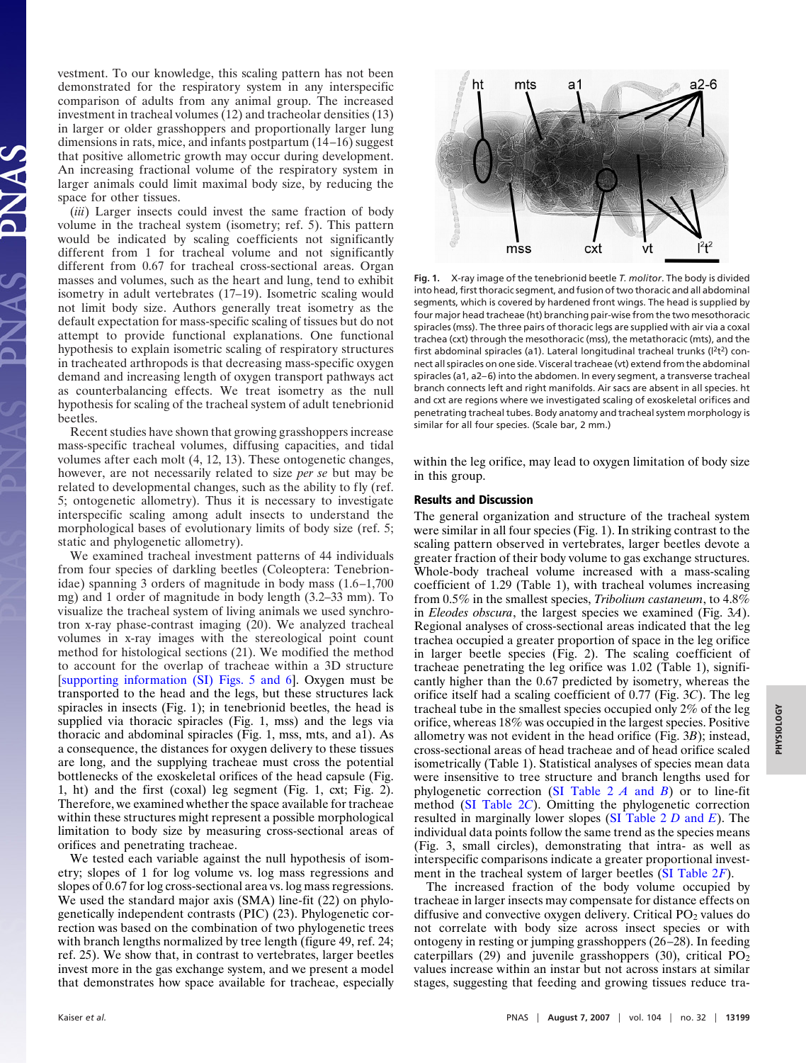vestment. To our knowledge, this scaling pattern has not been demonstrated for the respiratory system in any interspecific comparison of adults from any animal group. The increased investment in tracheal volumes (12) and tracheolar densities (13) in larger or older grasshoppers and proportionally larger lung dimensions in rats, mice, and infants postpartum (14–16) suggest that positive allometric growth may occur during development. An increasing fractional volume of the respiratory system in larger animals could limit maximal body size, by reducing the space for other tissues.

(*iii*) Larger insects could invest the same fraction of body volume in the tracheal system (isometry; ref. 5). This pattern would be indicated by scaling coefficients not significantly different from 1 for tracheal volume and not significantly different from 0.67 for tracheal cross-sectional areas. Organ masses and volumes, such as the heart and lung, tend to exhibit isometry in adult vertebrates (17–19). Isometric scaling would not limit body size. Authors generally treat isometry as the default expectation for mass-specific scaling of tissues but do not attempt to provide functional explanations. One functional hypothesis to explain isometric scaling of respiratory structures in tracheated arthropods is that decreasing mass-specific oxygen demand and increasing length of oxygen transport pathways act as counterbalancing effects. We treat isometry as the null hypothesis for scaling of the tracheal system of adult tenebrionid beetles.

Recent studies have shown that growing grasshoppers increase mass-specific tracheal volumes, diffusing capacities, and tidal volumes after each molt (4, 12, 13). These ontogenetic changes, however, are not necessarily related to size *per se* but may be related to developmental changes, such as the ability to fly (ref. 5; ontogenetic allometry). Thus it is necessary to investigate interspecific scaling among adult insects to understand the morphological bases of evolutionary limits of body size (ref. 5; static and phylogenetic allometry).

We examined tracheal investment patterns of 44 individuals from four species of darkling beetles (Coleoptera: Tenebrionidae) spanning 3 orders of magnitude in body mass (1.6–1,700 mg) and 1 order of magnitude in body length (3.2–33 mm). To visualize the tracheal system of living animals we used synchrotron x-ray phase-contrast imaging (20). We analyzed tracheal volumes in x-ray images with the stereological point count method for histological sections (21). We modified the method to account for the overlap of tracheae within a 3D structure [\[supporting information \(SI\) Figs. 5 and 6\]](http://www.pnas.org/cgi/content/full/0611544104/DC1). Oxygen must be transported to the head and the legs, but these structures lack spiracles in insects (Fig. 1); in tenebrionid beetles, the head is supplied via thoracic spiracles (Fig. 1, mss) and the legs via thoracic and abdominal spiracles (Fig. 1, mss, mts, and a1). As a consequence, the distances for oxygen delivery to these tissues are long, and the supplying tracheae must cross the potential bottlenecks of the exoskeletal orifices of the head capsule (Fig. 1, ht) and the first (coxal) leg segment (Fig. 1, cxt; Fig. 2). Therefore, we examined whether the space available for tracheae within these structures might represent a possible morphological limitation to body size by measuring cross-sectional areas of orifices and penetrating tracheae.

We tested each variable against the null hypothesis of isometry; slopes of 1 for log volume vs. log mass regressions and slopes of 0.67 for log cross-sectional area vs. log mass regressions. We used the standard major axis (SMA) line-fit (22) on phylogenetically independent contrasts (PIC) (23). Phylogenetic correction was based on the combination of two phylogenetic trees with branch lengths normalized by tree length (figure 49, ref. 24; ref. 25). We show that, in contrast to vertebrates, larger beetles invest more in the gas exchange system, and we present a model that demonstrates how space available for tracheae, especially



**Fig. 1.** X-ray image of the tenebrionid beetle *T. molitor*. The body is divided into head, first thoracic segment, and fusion of two thoracic and all abdominal segments, which is covered by hardened front wings. The head is supplied by four major head tracheae (ht) branching pair-wise from the two mesothoracic spiracles (mss). The three pairs of thoracic legs are supplied with air via a coxal trachea (cxt) through the mesothoracic (mss), the metathoracic (mts), and the first abdominal spiracles (a1). Lateral longitudinal tracheal trunks ( $l^2t^2$ ) connect all spiracles on one side. Visceral tracheae (vt) extend from the abdominal spiracles (a1, a2–6) into the abdomen. In every segment, a transverse tracheal branch connects left and right manifolds. Air sacs are absent in all species. ht and cxt are regions where we investigated scaling of exoskeletal orifices and penetrating tracheal tubes. Body anatomy and tracheal system morphology is similar for all four species. (Scale bar, 2 mm.)

within the leg orifice, may lead to oxygen limitation of body size in this group.

## **Results and Discussion**

The general organization and structure of the tracheal system were similar in all four species (Fig. 1). In striking contrast to the scaling pattern observed in vertebrates, larger beetles devote a greater fraction of their body volume to gas exchange structures. Whole-body tracheal volume increased with a mass-scaling coefficient of 1.29 (Table 1), with tracheal volumes increasing from 0.5% in the smallest species, *Tribolium castaneum*, to 4.8% in *Eleodes obscura*, the largest species we examined (Fig. 3*A*). Regional analyses of cross-sectional areas indicated that the leg trachea occupied a greater proportion of space in the leg orifice in larger beetle species (Fig. 2). The scaling coefficient of tracheae penetrating the leg orifice was 1.02 (Table 1), significantly higher than the 0.67 predicted by isometry, whereas the orifice itself had a scaling coefficient of 0.77 (Fig. 3*C*). The leg tracheal tube in the smallest species occupied only 2% of the leg orifice, whereas 18% was occupied in the largest species. Positive allometry was not evident in the head orifice (Fig. 3*B*); instead, cross-sectional areas of head tracheae and of head orifice scaled isometrically (Table 1). Statistical analyses of species mean data were insensitive to tree structure and branch lengths used for phylogenetic correction [\(SI Table 2](http://www.pnas.org/cgi/content/full/0611544104/DC1) *A* and *B*) or to line-fit method [\(SI Table 2](http://www.pnas.org/cgi/content/full/0611544104/DC1)*C*). Omitting the phylogenetic correction resulted in marginally lower slopes [\(SI Table 2](http://www.pnas.org/cgi/content/full/0611544104/DC1) *D* and *E*). The individual data points follow the same trend as the species means (Fig. 3, small circles), demonstrating that intra- as well as interspecific comparisons indicate a greater proportional investment in the tracheal system of larger beetles [\(SI Table 2](http://www.pnas.org/cgi/content/full/0611544104/DC1)*F*).

The increased fraction of the body volume occupied by tracheae in larger insects may compensate for distance effects on diffusive and convective oxygen delivery. Critical  $PO<sub>2</sub>$  values do not correlate with body size across insect species or with ontogeny in resting or jumping grasshoppers (26–28). In feeding caterpillars (29) and juvenile grasshoppers (30), critical  $PO<sub>2</sub>$ values increase within an instar but not across instars at similar stages, suggesting that feeding and growing tissues reduce tra-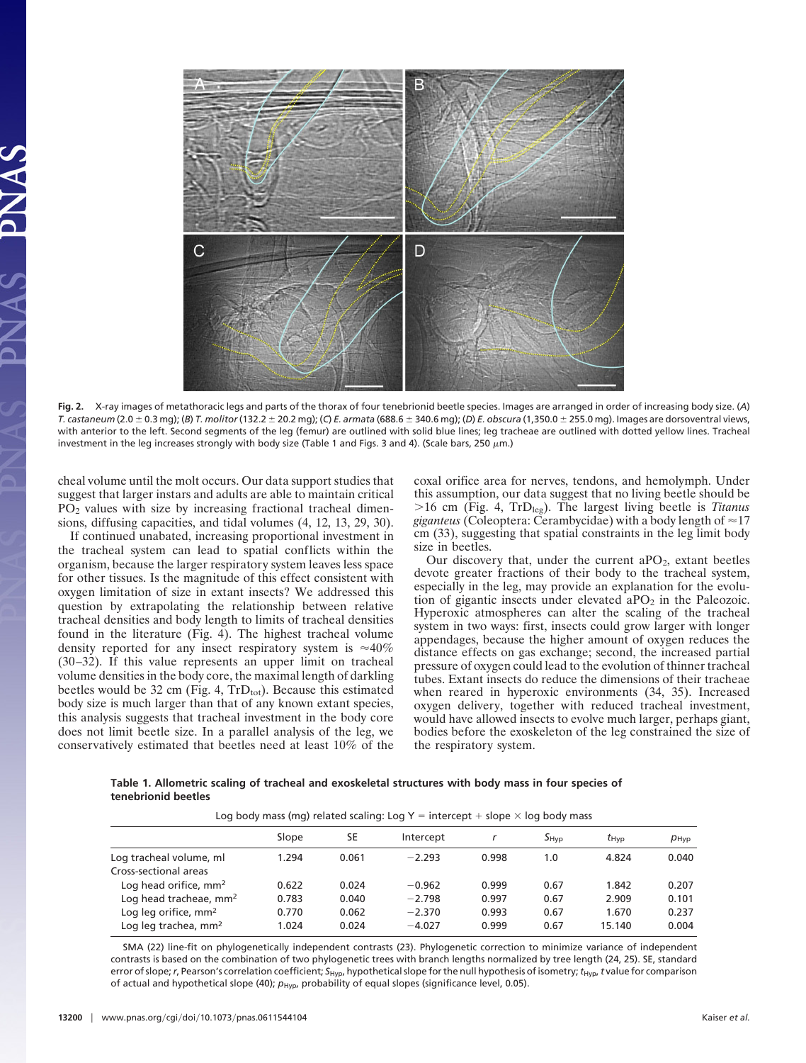

**Fig. 2.** X-ray images of metathoracic legs and parts of the thorax of four tenebrionid beetle species. Images are arranged in order of increasing body size. (*A*) *T. castaneum* (2.0 0.3 mg); (*B*) *T. molitor*(132.2 20.2 mg); (*C*) *E. armata* (688.6 340.6 mg); (*D*) *E. obscura* (1,350.0 255.0 mg). Images are dorsoventral views, with anterior to the left. Second segments of the leg (femur) are outlined with solid blue lines; leg tracheae are outlined with dotted yellow lines. Tracheal investment in the leg increases strongly with body size (Table 1 and Figs. 3 and 4). (Scale bars, 250  $\mu$ m.)

cheal volume until the molt occurs. Our data support studies that suggest that larger instars and adults are able to maintain critical PO2 values with size by increasing fractional tracheal dimensions, diffusing capacities, and tidal volumes (4, 12, 13, 29, 30).

If continued unabated, increasing proportional investment in the tracheal system can lead to spatial conflicts within the organism, because the larger respiratory system leaves less space for other tissues. Is the magnitude of this effect consistent with oxygen limitation of size in extant insects? We addressed this question by extrapolating the relationship between relative tracheal densities and body length to limits of tracheal densities found in the literature (Fig. 4). The highest tracheal volume density reported for any insect respiratory system is  $\approx 40\%$ (30–32). If this value represents an upper limit on tracheal volume densities in the body core, the maximal length of darkling beetles would be 32 cm (Fig. 4,  $TrD_{tot}$ ). Because this estimated body size is much larger than that of any known extant species, this analysis suggests that tracheal investment in the body core does not limit beetle size. In a parallel analysis of the leg, we conservatively estimated that beetles need at least 10% of the

coxal orifice area for nerves, tendons, and hemolymph. Under this assumption, our data suggest that no living beetle should be -16 cm (Fig. 4, TrDleg). The largest living beetle is *Titanus giganteus* (Coleoptera: Cerambycidae) with a body length of  $\approx$ 17 cm (33), suggesting that spatial constraints in the leg limit body size in beetles.

Our discovery that, under the current ap $O<sub>2</sub>$ , extant beetles devote greater fractions of their body to the tracheal system, especially in the leg, may provide an explanation for the evolution of gigantic insects under elevated a $PO<sub>2</sub>$  in the Paleozoic. Hyperoxic atmospheres can alter the scaling of the tracheal system in two ways: first, insects could grow larger with longer appendages, because the higher amount of oxygen reduces the distance effects on gas exchange; second, the increased partial pressure of oxygen could lead to the evolution of thinner tracheal tubes. Extant insects do reduce the dimensions of their tracheae when reared in hyperoxic environments (34, 35). Increased oxygen delivery, together with reduced tracheal investment, would have allowed insects to evolve much larger, perhaps giant, bodies before the exoskeleton of the leg constrained the size of the respiratory system.

**Table 1. Allometric scaling of tracheal and exoskeletal structures with body mass in four species of tenebrionid beetles**

| Log body mass (mg) related scaling: Log $Y =$ intercept + slope $\times$ log body mass |       |       |           |       |           |                  |               |
|----------------------------------------------------------------------------------------|-------|-------|-----------|-------|-----------|------------------|---------------|
|                                                                                        | Slope | SE    | Intercept |       | $S_{HVD}$ | $t_{\text{Hvp}}$ | $p_{\rm Hyp}$ |
| Log tracheal volume, ml                                                                | 1.294 | 0.061 | $-2.293$  | 0.998 | 1.0       | 4.824            | 0.040         |
| Cross-sectional areas<br>Log head orifice, mm <sup>2</sup>                             | 0.622 | 0.024 | $-0.962$  | 0.999 | 0.67      | 1.842            | 0.207         |
| Log head tracheae, mm <sup>2</sup>                                                     | 0.783 | 0.040 | $-2.798$  | 0.997 | 0.67      | 2.909            | 0.101         |
| Log leg orifice, mm <sup>2</sup>                                                       | 0.770 | 0.062 | $-2.370$  | 0.993 | 0.67      | 1.670            | 0.237         |
| Log leg trachea, mm <sup>2</sup>                                                       | 1.024 | 0.024 | $-4.027$  | 0.999 | 0.67      | 15.140           | 0.004         |

SMA (22) line-fit on phylogenetically independent contrasts (23). Phylogenetic correction to minimize variance of independent contrasts is based on the combination of two phylogenetic trees with branch lengths normalized by tree length (24, 25). SE, standard error of slope;*r*, Pearson's correlation coefficient; *S*Hyp, hypothetical slope for the null hypothesis of isometry;*t*Hyp,*t* value for comparison of actual and hypothetical slope (40);  $p_{\text{Hyp}}$ , probability of equal slopes (significance level, 0.05).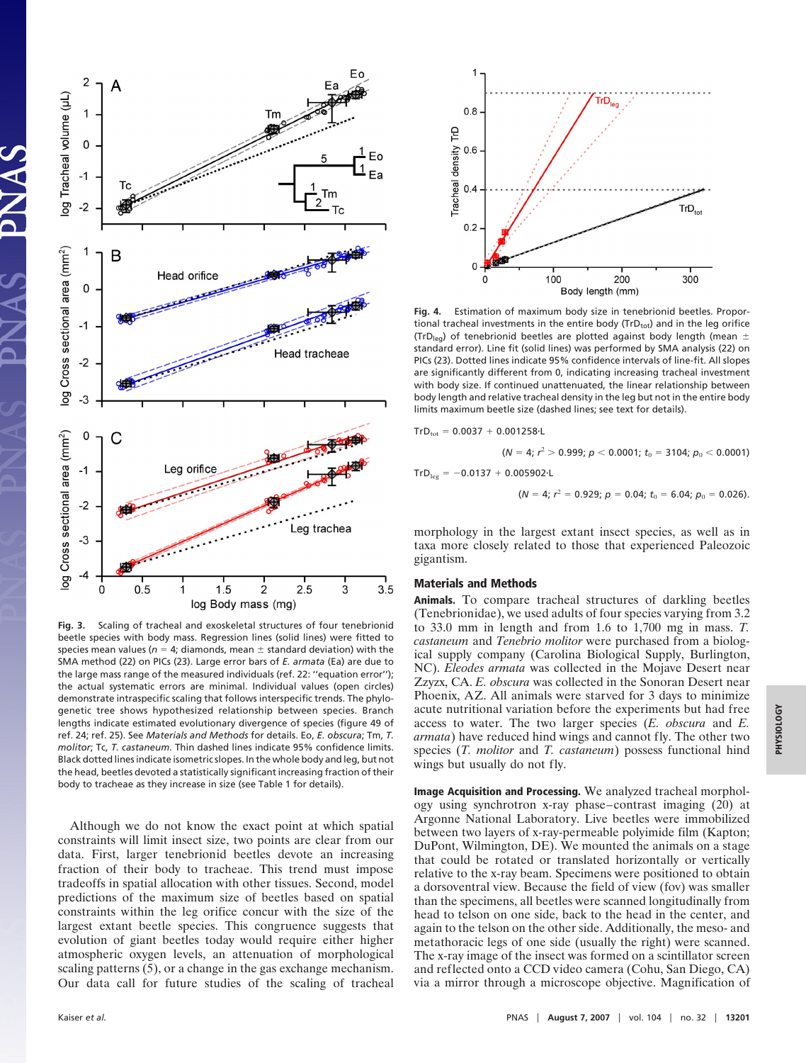

**Fig. 3.** Scaling of tracheal and exoskeletal structures of four tenebrionid beetle species with body mass. Regression lines (solid lines) were fitted to species mean values ( $n = 4$ ; diamonds, mean  $\pm$  standard deviation) with the SMA method (22) on PICs (23). Large error bars of *E. armata* (Ea) are due to the large mass range of the measured individuals (ref. 22: ''equation error''); the actual systematic errors are minimal. Individual values (open circles) demonstrate intraspecific scaling that follows interspecific trends. The phylogenetic tree shows hypothesized relationship between species. Branch lengths indicate estimated evolutionary divergence of species (figure 49 of ref. 24; ref. 25). See *Materials and Methods* for details. Eo, *E. obscura*; Tm, *T. molitor*; Tc, *T. castaneum*. Thin dashed lines indicate 95% confidence limits. Black dotted lines indicate isometric slopes. In the whole body and leg, but not the head, beetles devoted a statistically significant increasing fraction of their body to tracheae as they increase in size (see Table 1 for details).

Although we do not know the exact point at which spatial constraints will limit insect size, two points are clear from our data. First, larger tenebrionid beetles devote an increasing fraction of their body to tracheae. This trend must impose tradeoffs in spatial allocation with other tissues. Second, model predictions of the maximum size of beetles based on spatial constraints within the leg orifice concur with the size of the largest extant beetle species. This congruence suggests that evolution of giant beetles today would require either higher atmospheric oxygen levels, an attenuation of morphological scaling patterns (5), or a change in the gas exchange mechanism. Our data call for future studies of the scaling of tracheal



**Fig. 4.** Estimation of maximum body size in tenebrionid beetles. Proportional tracheal investments in the entire body ( $\text{TrD}_{\text{tot}}$ ) and in the leg orifice (TrD<sub>leg</sub>) of tenebrionid beetles are plotted against body length (mean  $\pm$ standard error). Line fit (solid lines) was performed by SMA analysis (22) on PICs (23). Dotted lines indicate 95% confidence intervals of line-fit. All slopes are significantly different from 0, indicating increasing tracheal investment with body size. If continued unattenuated, the linear relationship between body length and relative tracheal density in the leg but not in the entire body limits maximum beetle size (dashed lines; see text for details).

$$
Tr D_{\rm tot} = 0.0037 + 0.001258 \cdot L
$$

$$
(N=4; r^2>0.999; p<0.0001; t_0=3104; p_0<0.0001)
$$

 $TrD_{\text{leg}} = -0.0137 + 0.005902 \cdot L$ 

$$
(N=4; r^2=0.929; p=0.04; t_0=6.04; p_0=0.026).
$$

morphology in the largest extant insect species, as well as in taxa more closely related to those that experienced Paleozoic gigantism.

## **Materials and Methods**

**Animals.** To compare tracheal structures of darkling beetles (Tenebrionidae), we used adults of four species varying from 3.2 to 33.0 mm in length and from 1.6 to 1,700 mg in mass. *T. castaneum* and *Tenebrio molitor* were purchased from a biological supply company (Carolina Biological Supply, Burlington, NC). *Eleodes armata* was collected in the Mojave Desert near Zzyzx, CA. *E. obscura* was collected in the Sonoran Desert near Phoenix, AZ. All animals were starved for 3 days to minimize acute nutritional variation before the experiments but had free access to water. The two larger species (*E. obscura* and *E. armata*) have reduced hind wings and cannot fly. The other two species (*T. molitor* and *T. castaneum*) possess functional hind wings but usually do not fly.

**Image Acquisition and Processing.** We analyzed tracheal morphology using synchrotron x-ray phase–contrast imaging (20) at Argonne National Laboratory. Live beetles were immobilized between two layers of x-ray-permeable polyimide film (Kapton; DuPont, Wilmington, DE). We mounted the animals on a stage that could be rotated or translated horizontally or vertically relative to the x-ray beam. Specimens were positioned to obtain a dorsoventral view. Because the field of view (fov) was smaller than the specimens, all beetles were scanned longitudinally from head to telson on one side, back to the head in the center, and again to the telson on the other side. Additionally, the meso- and metathoracic legs of one side (usually the right) were scanned. The x-ray image of the insect was formed on a scintillator screen and reflected onto a CCD video camera (Cohu, San Diego, CA) via a mirror through a microscope objective. Magnification of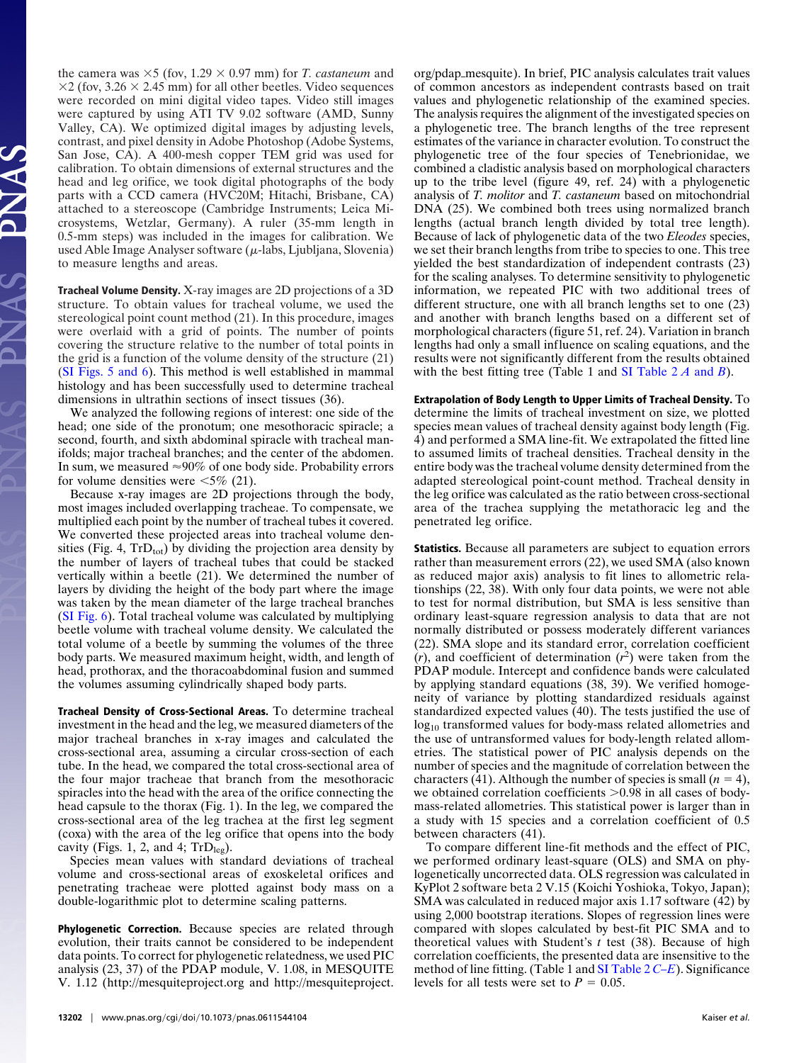the camera was  $\times$ 5 (fov, 1.29  $\times$  0.97 mm) for *T. castaneum* and  $\times$ 2 (fov, 3.26  $\times$  2.45 mm) for all other beetles. Video sequences were recorded on mini digital video tapes. Video still images were captured by using ATI TV 9.02 software (AMD, Sunny Valley, CA). We optimized digital images by adjusting levels, contrast, and pixel density in Adobe Photoshop (Adobe Systems, San Jose, CA). A 400-mesh copper TEM grid was used for calibration. To obtain dimensions of external structures and the head and leg orifice, we took digital photographs of the body parts with a CCD camera (HVC20M; Hitachi, Brisbane, CA) attached to a stereoscope (Cambridge Instruments; Leica Microsystems, Wetzlar, Germany). A ruler (35-mm length in 0.5-mm steps) was included in the images for calibration. We used Able Image Analyser software  $(\mu$ -labs, Ljubljana, Slovenia) to measure lengths and areas.

**Tracheal Volume Density.** X-ray images are 2D projections of a 3D structure. To obtain values for tracheal volume, we used the stereological point count method (21). In this procedure, images were overlaid with a grid of points. The number of points covering the structure relative to the number of total points in the grid is a function of the volume density of the structure (21) [\(SI Figs. 5 and 6\)](http://www.pnas.org/cgi/content/full/0611544104/DC1). This method is well established in mammal histology and has been successfully used to determine tracheal dimensions in ultrathin sections of insect tissues (36).

We analyzed the following regions of interest: one side of the head; one side of the pronotum; one mesothoracic spiracle; a second, fourth, and sixth abdominal spiracle with tracheal manifolds; major tracheal branches; and the center of the abdomen. In sum, we measured  $\approx 90\%$  of one body side. Probability errors for volume densities were  $\leq 5\%$  (21).

Because x-ray images are 2D projections through the body, most images included overlapping tracheae. To compensate, we multiplied each point by the number of tracheal tubes it covered. We converted these projected areas into tracheal volume densities (Fig. 4,  $TrD_{tot}$ ) by dividing the projection area density by the number of layers of tracheal tubes that could be stacked vertically within a beetle (21). We determined the number of layers by dividing the height of the body part where the image was taken by the mean diameter of the large tracheal branches [\(SI Fig. 6\)](http://www.pnas.org/cgi/content/full/0611544104/DC1). Total tracheal volume was calculated by multiplying beetle volume with tracheal volume density. We calculated the total volume of a beetle by summing the volumes of the three body parts. We measured maximum height, width, and length of head, prothorax, and the thoracoabdominal fusion and summed the volumes assuming cylindrically shaped body parts.

**Tracheal Density of Cross-Sectional Areas.** To determine tracheal investment in the head and the leg, we measured diameters of the major tracheal branches in x-ray images and calculated the cross-sectional area, assuming a circular cross-section of each tube. In the head, we compared the total cross-sectional area of the four major tracheae that branch from the mesothoracic spiracles into the head with the area of the orifice connecting the head capsule to the thorax (Fig. 1). In the leg, we compared the cross-sectional area of the leg trachea at the first leg segment (coxa) with the area of the leg orifice that opens into the body cavity (Figs. 1, 2, and 4;  $TrD_{leg}$ ).

Species mean values with standard deviations of tracheal volume and cross-sectional areas of exoskeletal orifices and penetrating tracheae were plotted against body mass on a double-logarithmic plot to determine scaling patterns.

**Phylogenetic Correction.** Because species are related through evolution, their traits cannot be considered to be independent data points. To correct for phylogenetic relatedness, we used PIC analysis (23, 37) of the PDAP module, V. 1.08, in MESQUITE V. 1.12 (http://mesquiteproject.org and http://mesquiteproject.

org/pdap-mesquite). In brief, PIC analysis calculates trait values of common ancestors as independent contrasts based on trait values and phylogenetic relationship of the examined species. The analysis requires the alignment of the investigated species on a phylogenetic tree. The branch lengths of the tree represent estimates of the variance in character evolution. To construct the phylogenetic tree of the four species of Tenebrionidae, we combined a cladistic analysis based on morphological characters up to the tribe level (figure 49, ref. 24) with a phylogenetic analysis of *T. molitor* and *T. castaneum* based on mitochondrial DNA (25). We combined both trees using normalized branch lengths (actual branch length divided by total tree length). Because of lack of phylogenetic data of the two *Eleodes* species, we set their branch lengths from tribe to species to one. This tree yielded the best standardization of independent contrasts (23) for the scaling analyses. To determine sensitivity to phylogenetic information, we repeated PIC with two additional trees of different structure, one with all branch lengths set to one (23) and another with branch lengths based on a different set of morphological characters (figure 51, ref. 24). Variation in branch lengths had only a small influence on scaling equations, and the results were not significantly different from the results obtained with the best fitting tree (Table 1 and [SI Table 2](http://www.pnas.org/cgi/content/full/0611544104/DC1) *A* and *B*).

**Extrapolation of Body Length to Upper Limits of Tracheal Density.** To determine the limits of tracheal investment on size, we plotted species mean values of tracheal density against body length (Fig. 4) and performed a SMA line-fit. We extrapolated the fitted line to assumed limits of tracheal densities. Tracheal density in the entire body was the tracheal volume density determined from the adapted stereological point-count method. Tracheal density in the leg orifice was calculated as the ratio between cross-sectional area of the trachea supplying the metathoracic leg and the penetrated leg orifice.

**Statistics.** Because all parameters are subject to equation errors rather than measurement errors (22), we used SMA (also known as reduced major axis) analysis to fit lines to allometric relationships (22, 38). With only four data points, we were not able to test for normal distribution, but SMA is less sensitive than ordinary least-square regression analysis to data that are not normally distributed or possess moderately different variances (22). SMA slope and its standard error, correlation coefficient  $(r)$ , and coefficient of determination  $(r^2)$  were taken from the PDAP module. Intercept and confidence bands were calculated by applying standard equations (38, 39). We verified homogeneity of variance by plotting standardized residuals against standardized expected values (40). The tests justified the use of log<sub>10</sub> transformed values for body-mass related allometries and the use of untransformed values for body-length related allometries. The statistical power of PIC analysis depends on the number of species and the magnitude of correlation between the characters (41). Although the number of species is small  $(n = 4)$ , we obtained correlation coefficients  $> 0.98$  in all cases of bodymass-related allometries. This statistical power is larger than in a study with 15 species and a correlation coefficient of 0.5 between characters (41).

To compare different line-fit methods and the effect of PIC, we performed ordinary least-square (OLS) and SMA on phylogenetically uncorrected data. OLS regression was calculated in KyPlot 2 software beta 2 V.15 (Koichi Yoshioka, Tokyo, Japan); SMA was calculated in reduced major axis 1.17 software (42) by using 2,000 bootstrap iterations. Slopes of regression lines were compared with slopes calculated by best-fit PIC SMA and to theoretical values with Student's *t* test (38). Because of high correlation coefficients, the presented data are insensitive to the method of line fitting. (Table 1 and [SI Table 2](http://www.pnas.org/cgi/content/full/0611544104/DC1) *C–E*). Significance levels for all tests were set to  $P = 0.05$ .